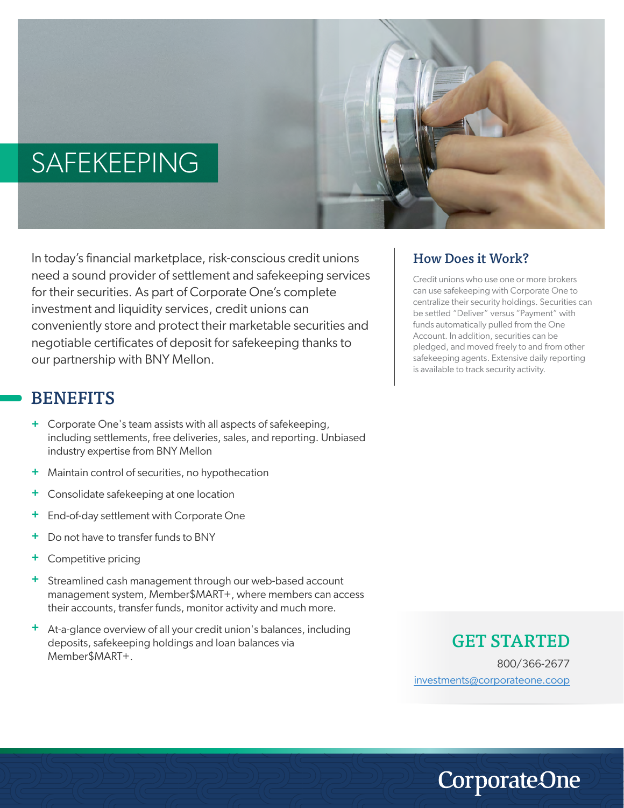# SAFEKEEPING



In today's financial marketplace, risk-conscious credit unions need a sound provider of settlement and safekeeping services for their securities. As part of Corporate One's complete investment and liquidity services, credit unions can conveniently store and protect their marketable securities and negotiable certificates of deposit for safekeeping thanks to our partnership with BNY Mellon.

### BENEFITS

- **+** Corporate One's team assists with all aspects of safekeeping, including settlements, free deliveries, sales, and reporting. Unbiased industry expertise from BNY Mellon
- **+** Maintain control of securities, no hypothecation
- **+** Consolidate safekeeping at one location
- **+** End-of-day settlement with Corporate One
- **+** Do not have to transfer funds to BNY
- **+** Competitive pricing
- **+** Streamlined cash management through our web-based account management system, Member\$MART+, where members can access their accounts, transfer funds, monitor activity and much more.
- **+** At-a-glance overview of all your credit union's balances, including deposits, safekeeping holdings and loan balances via Member\$MART+.

#### How Does it Work?

Credit unions who use one or more brokers can use safekeeping with Corporate One to centralize their security holdings. Securities can be settled "Deliver" versus "Payment" with funds automatically pulled from the One Account. In addition, securities can be pledged, and moved freely to and from other safekeeping agents. Extensive daily reporting is available to track security activity.

#### GET STARTED

800/366-2677 investments@corporateone.coop

**CorporateOne**